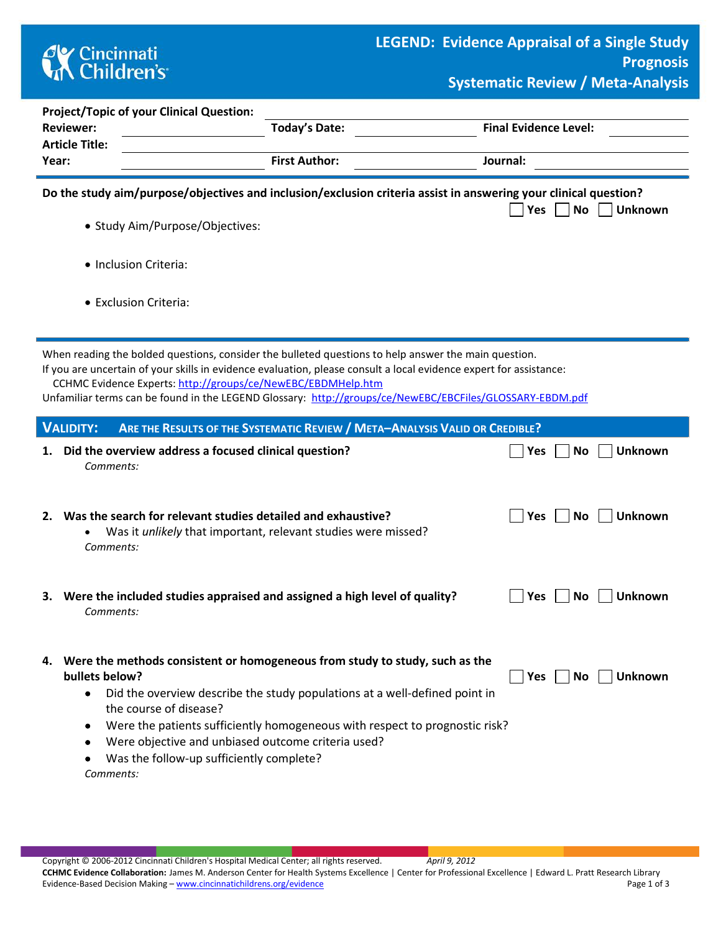

**No Unknown** 

| <b>Project/Topic of your Clinical Question:</b> |                      |                                                                                                                  |  |  |
|-------------------------------------------------|----------------------|------------------------------------------------------------------------------------------------------------------|--|--|
| <b>Reviewer:</b>                                | Today's Date:        | <b>Final Evidence Level:</b>                                                                                     |  |  |
| <b>Article Title:</b>                           |                      |                                                                                                                  |  |  |
| Year:                                           | <b>First Author:</b> | Journal:                                                                                                         |  |  |
|                                                 |                      |                                                                                                                  |  |  |
|                                                 |                      | Do the study aim/purpose/objectives and inclusion/exclusion criteria assist in answering your clinical question? |  |  |

- Study Aim/Purpose/Objectives:
- Inclusion Criteria:
- Exclusion Criteria:

When reading the bolded questions, consider the bulleted questions to help answer the main question.

If you are uncertain of your skills in evidence evaluation, please consult a local evidence expert for assistance: CCHMC Evidence Experts:<http://groups/ce/NewEBC/EBDMHelp.htm>

Unfamiliar terms can be found in the LEGEND Glossary: <http://groups/ce/NewEBC/EBCFiles/GLOSSARY-EBDM.pdf>

|    | <b>VALIDITY:</b><br>ARE THE RESULTS OF THE SYSTEMATIC REVIEW / META-ANALYSIS VALID OR CREDIBLE?                                                                                                                                                                                                                                                                                                                                            |            |           |                |
|----|--------------------------------------------------------------------------------------------------------------------------------------------------------------------------------------------------------------------------------------------------------------------------------------------------------------------------------------------------------------------------------------------------------------------------------------------|------------|-----------|----------------|
| 1. | Did the overview address a focused clinical question?<br>Comments:                                                                                                                                                                                                                                                                                                                                                                         | Yes        | No        | <b>Unknown</b> |
| 2. | Was the search for relevant studies detailed and exhaustive?<br>Was it <i>unlikely</i> that important, relevant studies were missed?<br>$\bullet$<br>Comments:                                                                                                                                                                                                                                                                             | Yes        | No.       | Unknown        |
|    | 3. Were the included studies appraised and assigned a high level of quality?<br>Comments:                                                                                                                                                                                                                                                                                                                                                  | Yes        | No.       | Unknown        |
| 4. | Were the methods consistent or homogeneous from study to study, such as the<br>bullets below?<br>Did the overview describe the study populations at a well-defined point in<br>$\bullet$<br>the course of disease?<br>Were the patients sufficiently homogeneous with respect to prognostic risk?<br>$\bullet$<br>Were objective and unbiased outcome criteria used?<br>$\bullet$<br>Was the follow-up sufficiently complete?<br>Comments: | <b>Yes</b> | <b>No</b> | <b>Unknown</b> |

Copyright © 2006-2012 Cincinnati Children's Hospital Medical Center; all rights reserved. *April 9, 2012*

**CCHMC Evidence Collaboration:** James M. Anderson Center for Health Systems Excellence | Center for Professional Excellence | Edward L. Pratt Research Library Evidence-Based Decision Making – [www.cincinnatichildrens.org/evidence](http://www.cincinnatichildrens.org/service/j/anderson-center/evidence-based-care/legend/) Page 1 of 3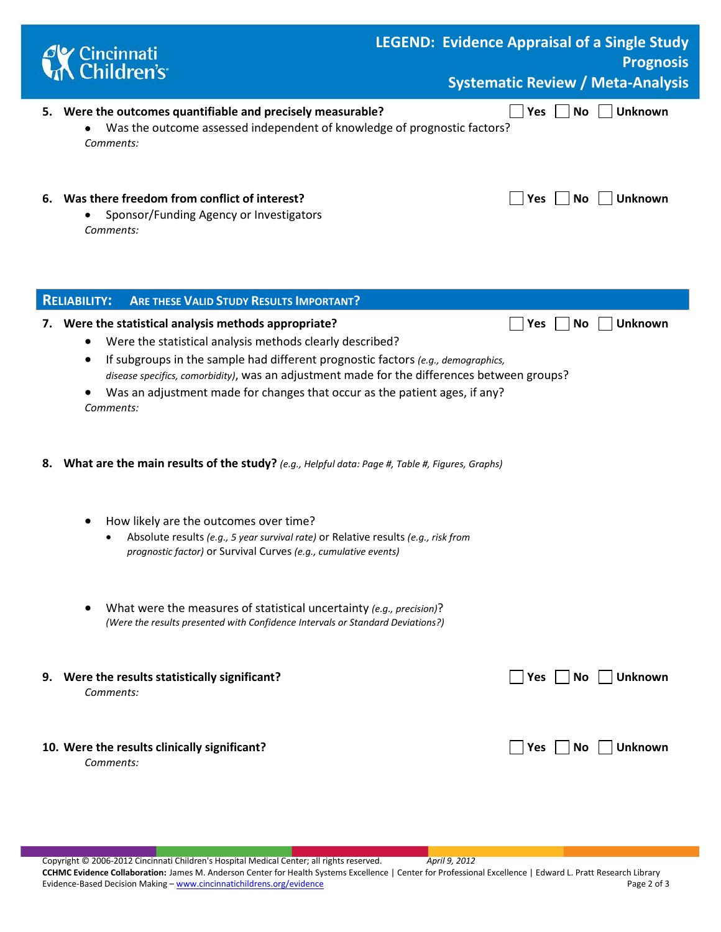|    | <b>d'y</b> Cincinnati<br><b>LA Children's</b>                                                                                                                                                                                                                                                                                                                                                                     | <b>LEGEND: Evidence Appraisal of a Single Study</b><br><b>Prognosis</b><br><b>Systematic Review / Meta-Analysis</b> |  |
|----|-------------------------------------------------------------------------------------------------------------------------------------------------------------------------------------------------------------------------------------------------------------------------------------------------------------------------------------------------------------------------------------------------------------------|---------------------------------------------------------------------------------------------------------------------|--|
|    | 5. Were the outcomes quantifiable and precisely measurable?<br>Was the outcome assessed independent of knowledge of prognostic factors?<br>Comments:                                                                                                                                                                                                                                                              | <b>No</b><br><b>Unknown</b><br>Yes                                                                                  |  |
|    | 6. Was there freedom from conflict of interest?<br>Sponsor/Funding Agency or Investigators<br>Comments:                                                                                                                                                                                                                                                                                                           | No<br><b>Unknown</b><br>Yes                                                                                         |  |
|    | <b>ARE THESE VALID STUDY RESULTS IMPORTANT?</b><br><b>RELIABILITY:</b>                                                                                                                                                                                                                                                                                                                                            |                                                                                                                     |  |
|    | 7. Were the statistical analysis methods appropriate?<br>Were the statistical analysis methods clearly described?<br>If subgroups in the sample had different prognostic factors (e.g., demographics,<br>٠<br>disease specifics, comorbidity), was an adjustment made for the differences between groups?<br>Was an adjustment made for changes that occur as the patient ages, if any?<br>$\bullet$<br>Comments: | <b>Unknown</b><br>No<br>Yes                                                                                         |  |
| 8. | What are the main results of the study? (e.g., Helpful data: Page #, Table #, Figures, Graphs)                                                                                                                                                                                                                                                                                                                    |                                                                                                                     |  |
|    | How likely are the outcomes over time?<br>Absolute results (e.g., 5 year survival rate) or Relative results (e.g., risk from<br>prognostic factor) or Survival Curves (e.g., cumulative events)                                                                                                                                                                                                                   |                                                                                                                     |  |
|    | What were the measures of statistical uncertainty (e.g., precision)?<br>(Were the results presented with Confidence Intervals or Standard Deviations?)                                                                                                                                                                                                                                                            |                                                                                                                     |  |
|    | 9. Were the results statistically significant?<br>Comments:                                                                                                                                                                                                                                                                                                                                                       | Yes     No<br>Unknown                                                                                               |  |
|    | 10. Were the results clinically significant?<br>Comments:                                                                                                                                                                                                                                                                                                                                                         | Yes   No<br><b>Unknown</b>                                                                                          |  |